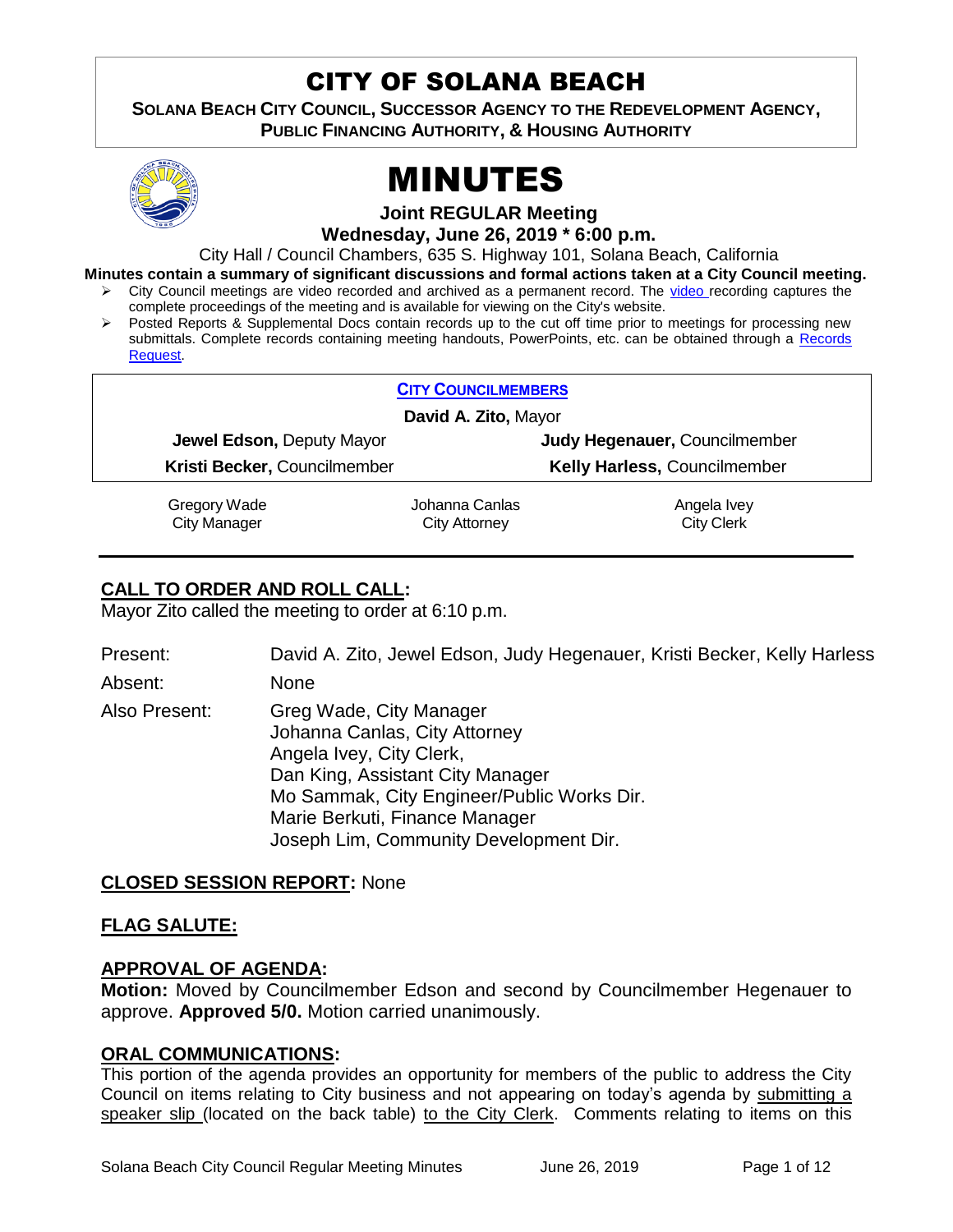# CITY OF SOLANA BEACH

**SOLANA BEACH CITY COUNCIL, SUCCESSOR AGENCY TO THE REDEVELOPMENT AGENCY, PUBLIC FINANCING AUTHORITY, & HOUSING AUTHORITY** 



# MINUTES

**Joint REGULAR Meeting**

**Wednesday, June 26, 2019 \* 6:00 p.m.**

City Hall / Council Chambers, 635 S. Highway 101, Solana Beach, California

**Minutes contain a summary of significant discussions and formal actions taken at a City Council meeting.**

- City Council meetings are video recorded and archived as a permanent record. The [video r](https://solanabeach.12milesout.com/#page=1)ecording captures the complete proceedings of the meeting and is available for viewing on the City's website.
- Posted Reports & Supplemental Docs contain records up to the cut off time prior to meetings for processing new submittals. Complete records containing meeting handouts, PowerPoints, etc. can be obtained through a [Records](http://www.ci.solana-beach.ca.us/index.asp?SEC=F5D45D10-70CE-4291-A27C-7BD633FC6742&Type=B_BASIC)  [Request.](http://www.ci.solana-beach.ca.us/index.asp?SEC=F5D45D10-70CE-4291-A27C-7BD633FC6742&Type=B_BASIC)

| <b>CITY COUNCILMEMBERS</b>   |                |                                     |  |  |
|------------------------------|----------------|-------------------------------------|--|--|
| David A. Zito, Mayor         |                |                                     |  |  |
| Jewel Edson, Deputy Mayor    |                | Judy Hegenauer, Councilmember       |  |  |
| Kristi Becker, Councilmember |                | <b>Kelly Harless, Councilmember</b> |  |  |
| Gregory Wade                 | Johanna Canlas | Angela Ivey                         |  |  |

City Manager

Johanna Canlas City Attorney

Angela Ivey City Clerk

# **CALL TO ORDER AND ROLL CALL:**

Mayor Zito called the meeting to order at 6:10 p.m.

Present: David A. Zito, Jewel Edson, Judy Hegenauer, Kristi Becker, Kelly Harless

Absent: None

Also Present: Greg Wade, City Manager Johanna Canlas, City Attorney Angela Ivey, City Clerk, Dan King, Assistant City Manager Mo Sammak, City Engineer/Public Works Dir. Marie Berkuti, Finance Manager Joseph Lim, Community Development Dir.

#### **CLOSED SESSION REPORT:** None

#### **FLAG SALUTE:**

#### **APPROVAL OF AGENDA:**

**Motion:** Moved by Councilmember Edson and second by Councilmember Hegenauer to approve. **Approved 5/0.** Motion carried unanimously.

#### **ORAL COMMUNICATIONS:**

This portion of the agenda provides an opportunity for members of the public to address the City Council on items relating to City business and not appearing on today's agenda by submitting a speaker slip (located on the back table) to the City Clerk. Comments relating to items on this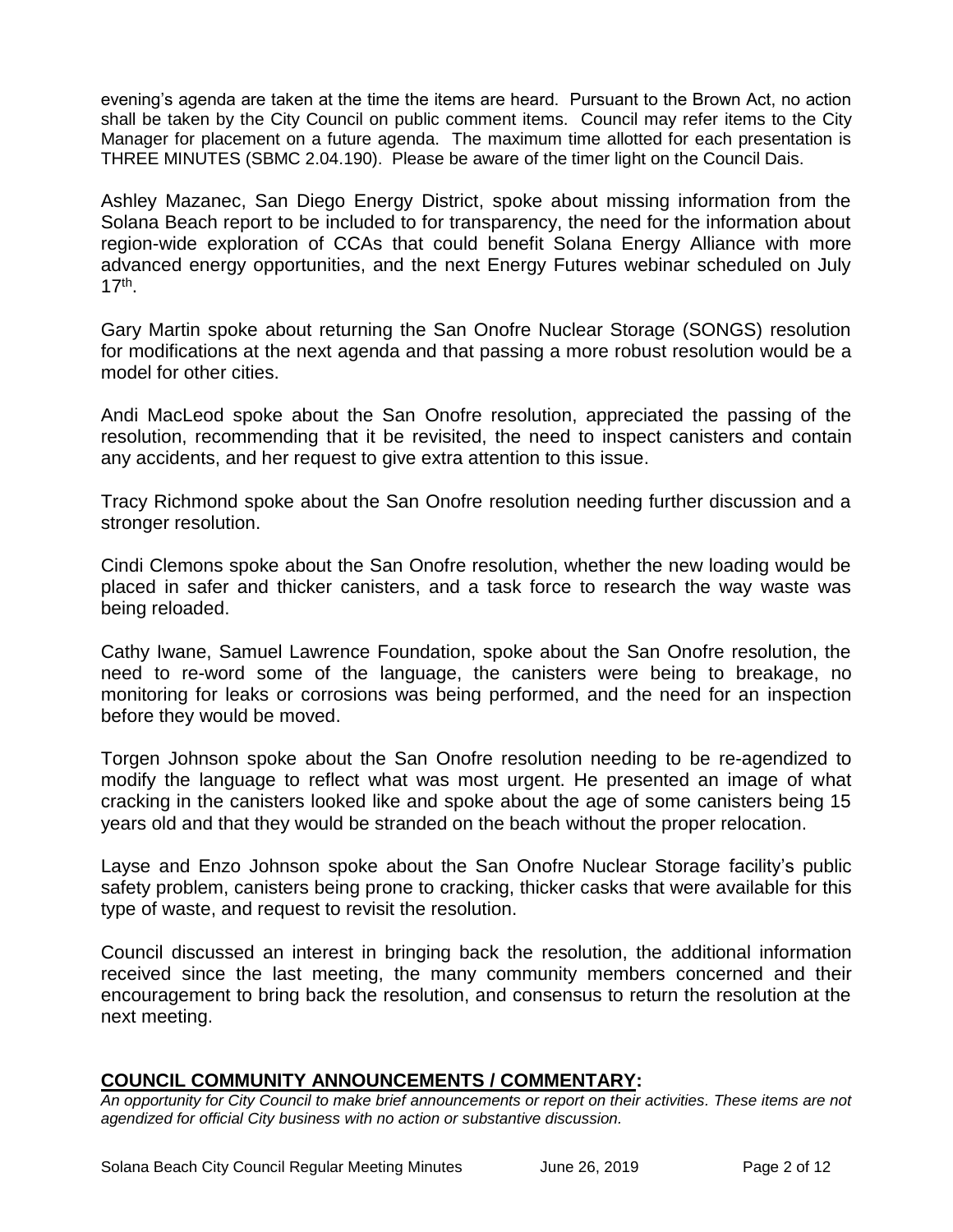evening's agenda are taken at the time the items are heard. Pursuant to the Brown Act, no action shall be taken by the City Council on public comment items. Council may refer items to the City Manager for placement on a future agenda. The maximum time allotted for each presentation is THREE MINUTES (SBMC 2.04.190). Please be aware of the timer light on the Council Dais.

Ashley Mazanec, San Diego Energy District, spoke about missing information from the Solana Beach report to be included to for transparency, the need for the information about region-wide exploration of CCAs that could benefit Solana Energy Alliance with more advanced energy opportunities, and the next Energy Futures webinar scheduled on July 17th .

Gary Martin spoke about returning the San Onofre Nuclear Storage (SONGS) resolution for modifications at the next agenda and that passing a more robust resolution would be a model for other cities.

Andi MacLeod spoke about the San Onofre resolution, appreciated the passing of the resolution, recommending that it be revisited, the need to inspect canisters and contain any accidents, and her request to give extra attention to this issue.

Tracy Richmond spoke about the San Onofre resolution needing further discussion and a stronger resolution.

Cindi Clemons spoke about the San Onofre resolution, whether the new loading would be placed in safer and thicker canisters, and a task force to research the way waste was being reloaded.

Cathy Iwane, Samuel Lawrence Foundation, spoke about the San Onofre resolution, the need to re-word some of the language, the canisters were being to breakage, no monitoring for leaks or corrosions was being performed, and the need for an inspection before they would be moved.

Torgen Johnson spoke about the San Onofre resolution needing to be re-agendized to modify the language to reflect what was most urgent. He presented an image of what cracking in the canisters looked like and spoke about the age of some canisters being 15 years old and that they would be stranded on the beach without the proper relocation.

Layse and Enzo Johnson spoke about the San Onofre Nuclear Storage facility's public safety problem, canisters being prone to cracking, thicker casks that were available for this type of waste, and request to revisit the resolution.

Council discussed an interest in bringing back the resolution, the additional information received since the last meeting, the many community members concerned and their encouragement to bring back the resolution, and consensus to return the resolution at the next meeting.

#### **COUNCIL COMMUNITY ANNOUNCEMENTS / COMMENTARY:**

*An opportunity for City Council to make brief announcements or report on their activities. These items are not agendized for official City business with no action or substantive discussion.*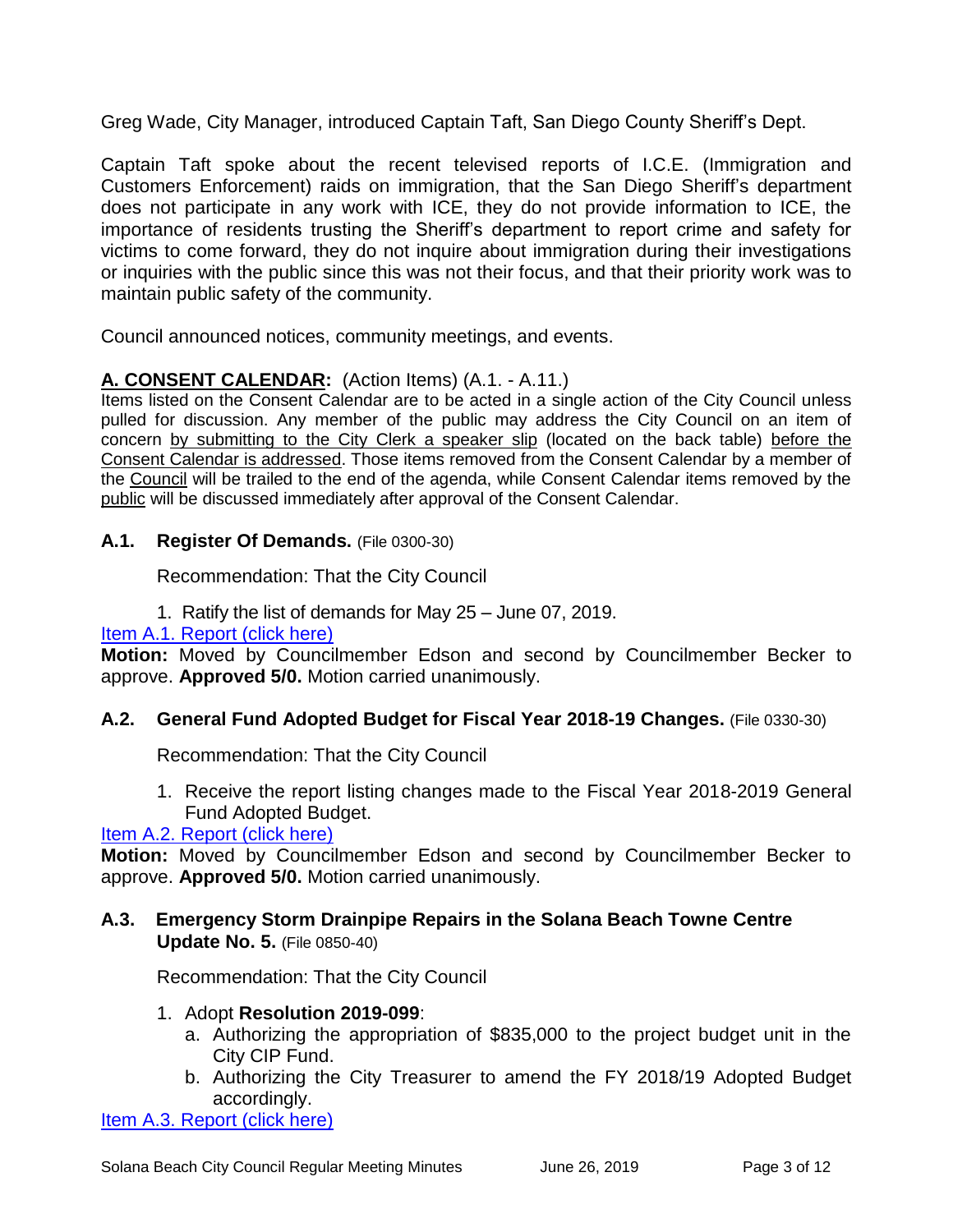Greg Wade, City Manager, introduced Captain Taft, San Diego County Sheriff's Dept.

Captain Taft spoke about the recent televised reports of I.C.E. (Immigration and Customers Enforcement) raids on immigration, that the San Diego Sheriff's department does not participate in any work with ICE, they do not provide information to ICE, the importance of residents trusting the Sheriff's department to report crime and safety for victims to come forward, they do not inquire about immigration during their investigations or inquiries with the public since this was not their focus, and that their priority work was to maintain public safety of the community.

Council announced notices, community meetings, and events.

# **A. CONSENT CALENDAR:** (Action Items) (A.1. - A.11.)

Items listed on the Consent Calendar are to be acted in a single action of the City Council unless pulled for discussion. Any member of the public may address the City Council on an item of concern by submitting to the City Clerk a speaker slip (located on the back table) before the Consent Calendar is addressed. Those items removed from the Consent Calendar by a member of the Council will be trailed to the end of the agenda, while Consent Calendar items removed by the public will be discussed immediately after approval of the Consent Calendar.

#### **A.1. Register Of Demands.** (File 0300-30)

Recommendation: That the City Council

1. Ratify the list of demands for May 25 – June 07, 2019.

# [Item A.1. Report \(click here\)](https://solanabeach.govoffice3.com/vertical/Sites/%7B840804C2-F869-4904-9AE3-720581350CE7%7D/uploads/Item_A.1._Report_(click_here)_06-26-19_-_O.pdf)

**Motion:** Moved by Councilmember Edson and second by Councilmember Becker to approve. **Approved 5/0.** Motion carried unanimously.

#### **A.2. General Fund Adopted Budget for Fiscal Year 2018-19 Changes.** (File 0330-30)

Recommendation: That the City Council

1. Receive the report listing changes made to the Fiscal Year 2018-2019 General Fund Adopted Budget.

#### [Item A.2. Report \(click here\)](https://solanabeach.govoffice3.com/vertical/Sites/%7B840804C2-F869-4904-9AE3-720581350CE7%7D/uploads/Item_A.2._Report_(click_here)_06-26-19_-_O.pdf)

**Motion:** Moved by Councilmember Edson and second by Councilmember Becker to approve. **Approved 5/0.** Motion carried unanimously.

#### **A.3. Emergency Storm Drainpipe Repairs in the Solana Beach Towne Centre Update No. 5.** (File 0850-40)

Recommendation: That the City Council

#### 1. Adopt **Resolution 2019-099**:

- a. Authorizing the appropriation of \$835,000 to the project budget unit in the City CIP Fund.
- b. Authorizing the City Treasurer to amend the FY 2018/19 Adopted Budget accordingly.

[Item A.3. Report \(click here\)](https://solanabeach.govoffice3.com/vertical/Sites/%7B840804C2-F869-4904-9AE3-720581350CE7%7D/uploads/Item_A.3._Report_(click_here)_06-26-19_-_O.pdf)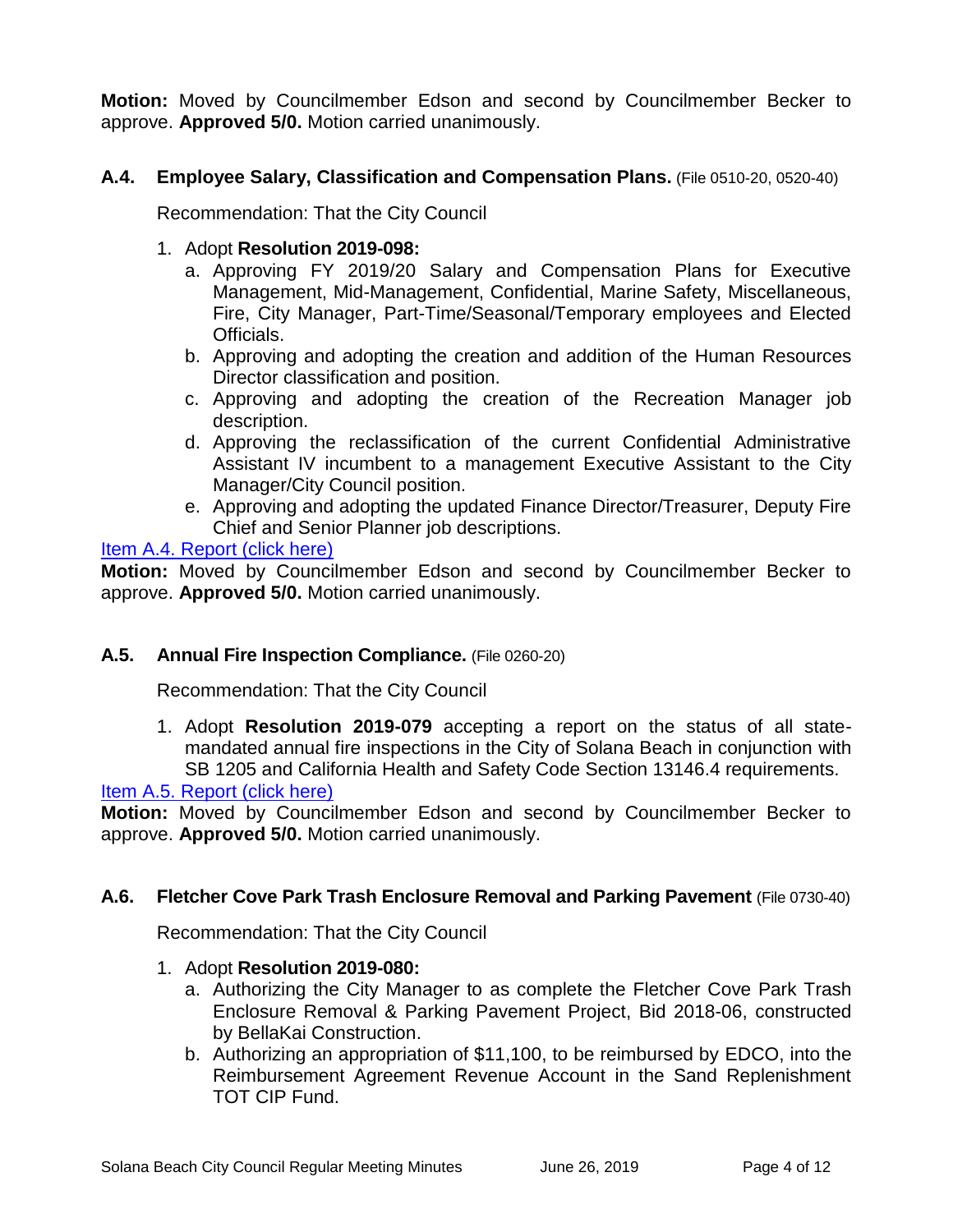**Motion:** Moved by Councilmember Edson and second by Councilmember Becker to approve. **Approved 5/0.** Motion carried unanimously.

# **A.4. Employee Salary, Classification and Compensation Plans.** (File 0510-20, 0520-40)

Recommendation: That the City Council

- 1. Adopt **Resolution 2019-098:**
	- a. Approving FY 2019/20 Salary and Compensation Plans for Executive Management, Mid-Management, Confidential, Marine Safety, Miscellaneous, Fire, City Manager, Part-Time/Seasonal/Temporary employees and Elected Officials.
	- b. Approving and adopting the creation and addition of the Human Resources Director classification and position.
	- c. Approving and adopting the creation of the Recreation Manager job description.
	- d. Approving the reclassification of the current Confidential Administrative Assistant IV incumbent to a management Executive Assistant to the City Manager/City Council position.
	- e. Approving and adopting the updated Finance Director/Treasurer, Deputy Fire Chief and Senior Planner job descriptions.

### [Item A.4. Report \(click here\)](https://solanabeach.govoffice3.com/vertical/Sites/%7B840804C2-F869-4904-9AE3-720581350CE7%7D/uploads/Item_A.4._Report_(click_here)_06-26-19_-_O.pdf)

**Motion:** Moved by Councilmember Edson and second by Councilmember Becker to approve. **Approved 5/0.** Motion carried unanimously.

#### **A.5. Annual Fire Inspection Compliance.** (File 0260-20)

Recommendation: That the City Council

1. Adopt **Resolution 2019-079** accepting a report on the status of all statemandated annual fire inspections in the City of Solana Beach in conjunction with SB 1205 and California Health and Safety Code Section 13146.4 requirements.

#### [Item A.5. Report \(click here\)](https://solanabeach.govoffice3.com/vertical/Sites/%7B840804C2-F869-4904-9AE3-720581350CE7%7D/uploads/Item_A.5._Report_(click_here)_06-26-19_-_O.pdf)

**Motion:** Moved by Councilmember Edson and second by Councilmember Becker to approve. **Approved 5/0.** Motion carried unanimously.

#### **A.6. Fletcher Cove Park Trash Enclosure Removal and Parking Pavement** (File 0730-40)

Recommendation: That the City Council

- 1. Adopt **Resolution 2019-080:**
	- a. Authorizing the City Manager to as complete the Fletcher Cove Park Trash Enclosure Removal & Parking Pavement Project, Bid 2018-06, constructed by BellaKai Construction.
	- b. Authorizing an appropriation of \$11,100, to be reimbursed by EDCO, into the Reimbursement Agreement Revenue Account in the Sand Replenishment TOT CIP Fund.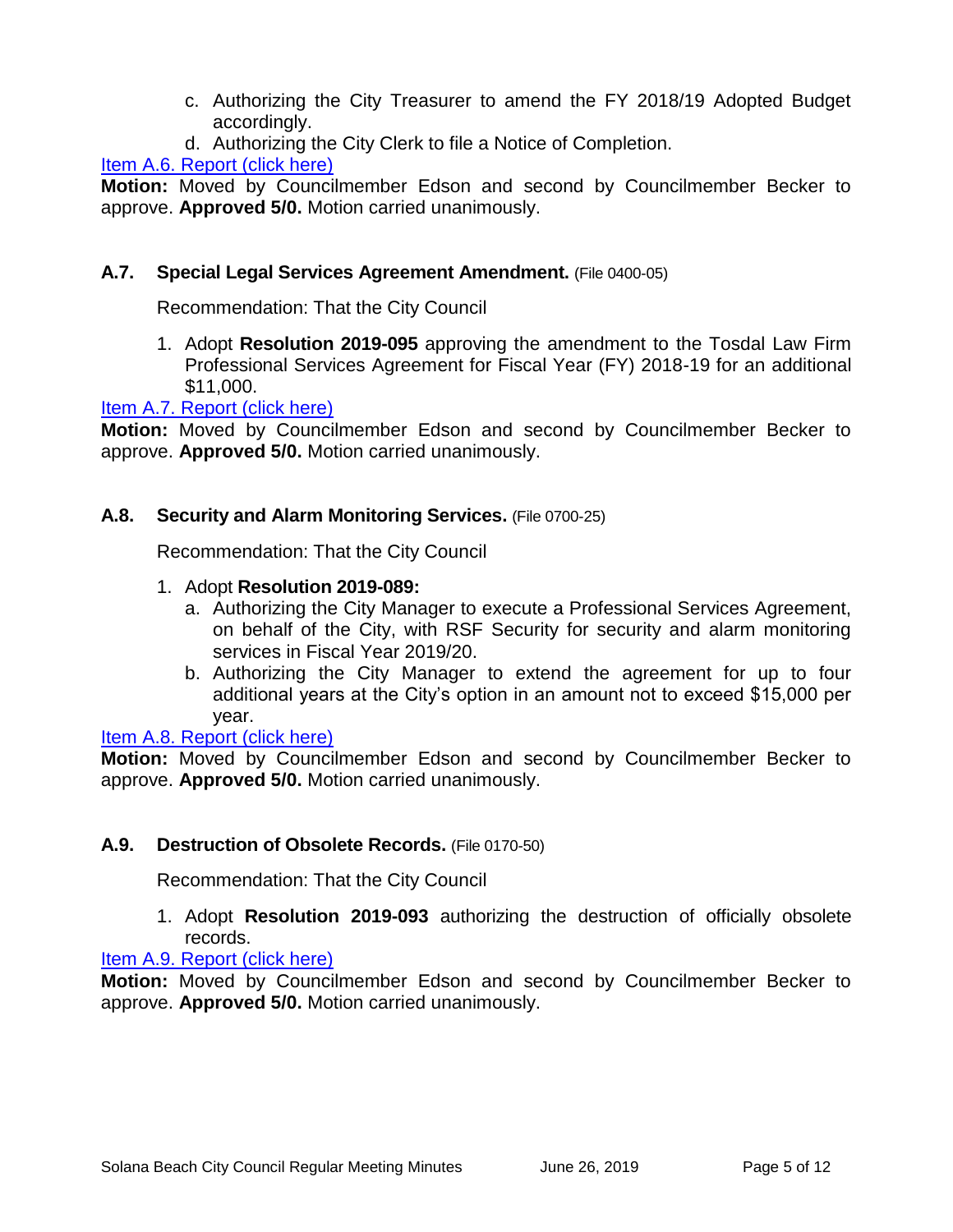- c. Authorizing the City Treasurer to amend the FY 2018/19 Adopted Budget accordingly.
- d. Authorizing the City Clerk to file a Notice of Completion.

# [Item A.6. Report \(click here\)](https://solanabeach.govoffice3.com/vertical/Sites/%7B840804C2-F869-4904-9AE3-720581350CE7%7D/uploads/Item_A.6._Report_(click_here)_06-26-19_-_O.pdf)

**Motion:** Moved by Councilmember Edson and second by Councilmember Becker to approve. **Approved 5/0.** Motion carried unanimously.

#### **A.7. Special Legal Services Agreement Amendment.** (File 0400-05)

Recommendation: That the City Council

1. Adopt **Resolution 2019-095** approving the amendment to the Tosdal Law Firm Professional Services Agreement for Fiscal Year (FY) 2018-19 for an additional \$11,000.

#### [Item A.7. Report \(click here\)](https://solanabeach.govoffice3.com/vertical/Sites/%7B840804C2-F869-4904-9AE3-720581350CE7%7D/uploads/Item_A.7._Report_(click_here)_06-26-19_-_O.pdf)

**Motion:** Moved by Councilmember Edson and second by Councilmember Becker to approve. **Approved 5/0.** Motion carried unanimously.

#### **A.8. Security and Alarm Monitoring Services.** (File 0700-25)

Recommendation: That the City Council

#### 1. Adopt **Resolution 2019-089:**

- a. Authorizing the City Manager to execute a Professional Services Agreement, on behalf of the City, with RSF Security for security and alarm monitoring services in Fiscal Year 2019/20.
- b. Authorizing the City Manager to extend the agreement for up to four additional years at the City's option in an amount not to exceed \$15,000 per year.

[Item A.8. Report \(click here\)](https://solanabeach.govoffice3.com/vertical/Sites/%7B840804C2-F869-4904-9AE3-720581350CE7%7D/uploads/Item_A.8._Report_(click_here)_06-26-19_-_O.pdf)

**Motion:** Moved by Councilmember Edson and second by Councilmember Becker to approve. **Approved 5/0.** Motion carried unanimously.

#### **A.9. Destruction of Obsolete Records.** (File 0170-50)

Recommendation: That the City Council

1. Adopt **Resolution 2019-093** authorizing the destruction of officially obsolete records.

[Item A.9. Report \(click here\)](https://solanabeach.govoffice3.com/vertical/Sites/%7B840804C2-F869-4904-9AE3-720581350CE7%7D/uploads/Item_A.9._Report_(click_here)_06-26-19_-_O.pdf)

**Motion:** Moved by Councilmember Edson and second by Councilmember Becker to approve. **Approved 5/0.** Motion carried unanimously.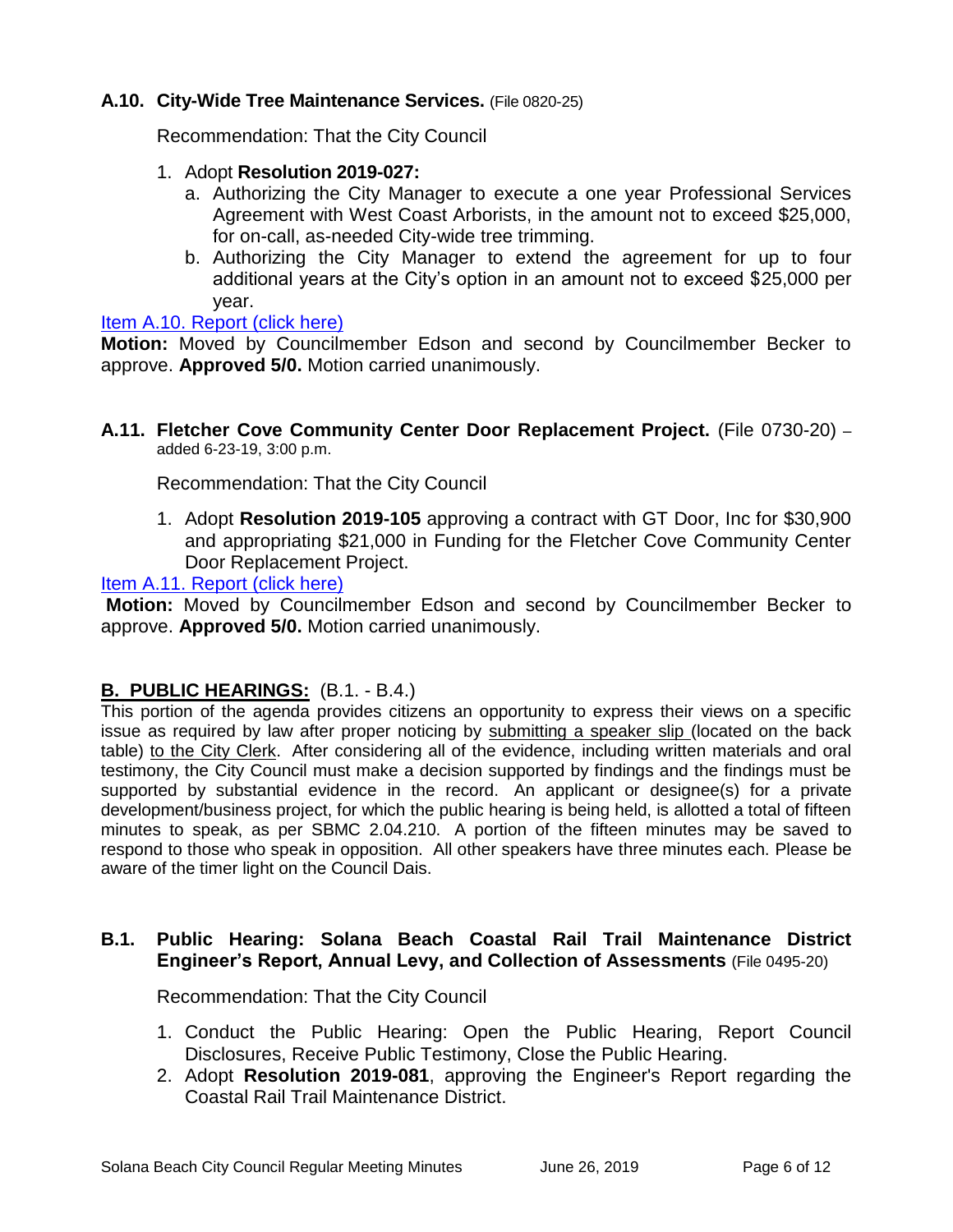#### **A.10. City-Wide Tree Maintenance Services.** (File 0820-25)

Recommendation: That the City Council

- 1. Adopt **Resolution 2019-027:**
	- a. Authorizing the City Manager to execute a one year Professional Services Agreement with West Coast Arborists, in the amount not to exceed \$25,000, for on-call, as-needed City-wide tree trimming.
	- b. Authorizing the City Manager to extend the agreement for up to four additional years at the City's option in an amount not to exceed \$25,000 per year.

#### [Item A.10. Report \(click here\)](https://solanabeach.govoffice3.com/vertical/Sites/%7B840804C2-F869-4904-9AE3-720581350CE7%7D/uploads/Item_A.10._Report_(click_here)_06-26-19_-_O.pdf)

**Motion:** Moved by Councilmember Edson and second by Councilmember Becker to approve. **Approved 5/0.** Motion carried unanimously.

**A.11. Fletcher Cove Community Center Door Replacement Project.** (File 0730-20) – added 6-23-19, 3:00 p.m.

Recommendation: That the City Council

1. Adopt **Resolution 2019-105** approving a contract with GT Door, Inc for \$30,900 and appropriating \$21,000 in Funding for the Fletcher Cove Community Center Door Replacement Project.

[Item A.11. Report \(click here\)](https://solanabeach.govoffice3.com/vertical/Sites/%7B840804C2-F869-4904-9AE3-720581350CE7%7D/uploads/Item_A.11._Report_(click_here)_06-26-19_-_O.pdf)

**Motion:** Moved by Councilmember Edson and second by Councilmember Becker to approve. **Approved 5/0.** Motion carried unanimously.

#### **B. PUBLIC HEARINGS:** (B.1. - B.4.)

This portion of the agenda provides citizens an opportunity to express their views on a specific issue as required by law after proper noticing by submitting a speaker slip (located on the back table) to the City Clerk. After considering all of the evidence, including written materials and oral testimony, the City Council must make a decision supported by findings and the findings must be supported by substantial evidence in the record. An applicant or designee(s) for a private development/business project, for which the public hearing is being held, is allotted a total of fifteen minutes to speak, as per SBMC 2.04.210. A portion of the fifteen minutes may be saved to respond to those who speak in opposition. All other speakers have three minutes each. Please be aware of the timer light on the Council Dais.

#### **B.1. Public Hearing: Solana Beach Coastal Rail Trail Maintenance District Engineer's Report, Annual Levy, and Collection of Assessments** (File 0495-20)

Recommendation: That the City Council

- 1. Conduct the Public Hearing: Open the Public Hearing, Report Council Disclosures, Receive Public Testimony, Close the Public Hearing.
- 2. Adopt **Resolution 2019-081**, approving the Engineer's Report regarding the Coastal Rail Trail Maintenance District.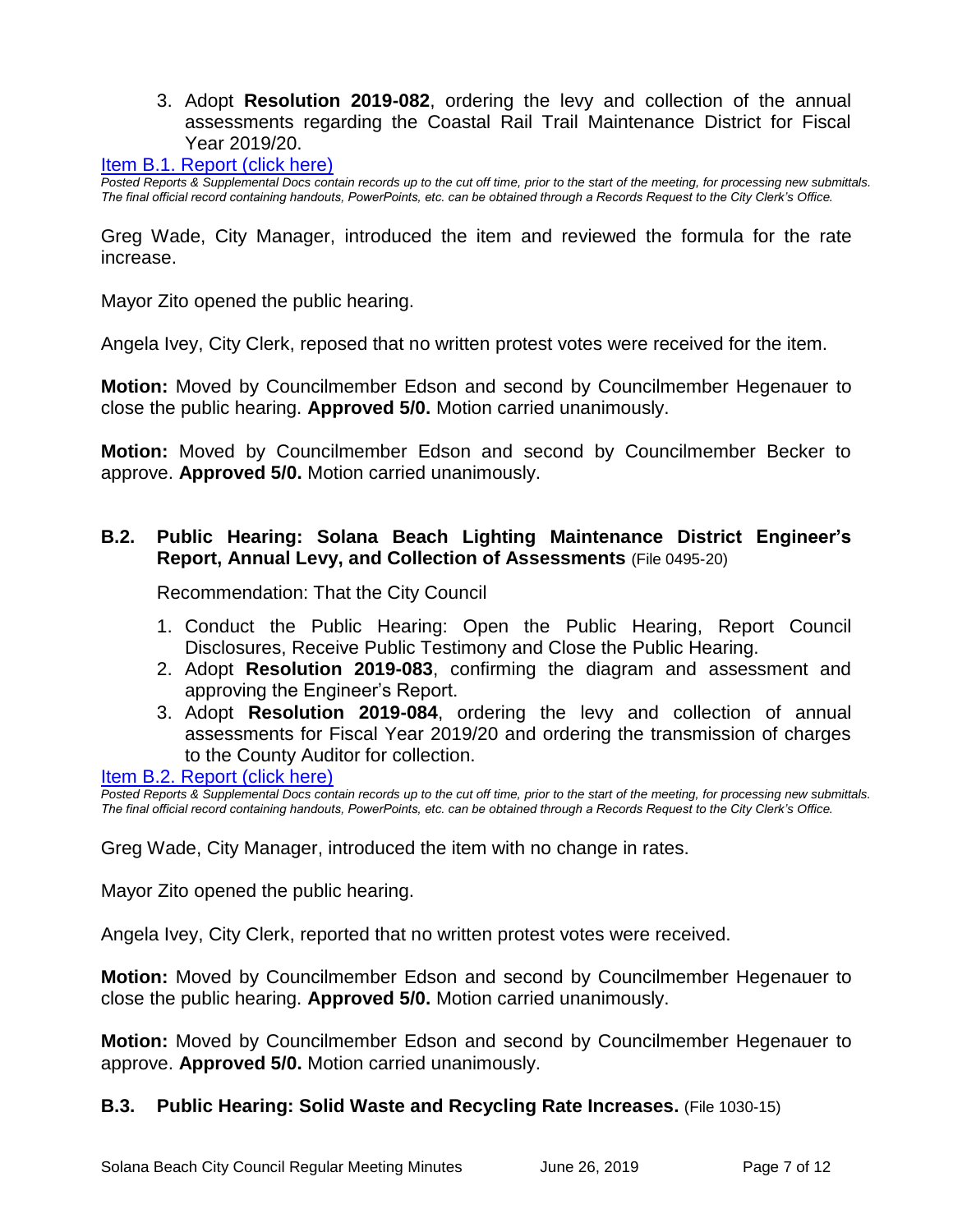3. Adopt **Resolution 2019-082**, ordering the levy and collection of the annual assessments regarding the Coastal Rail Trail Maintenance District for Fiscal Year 2019/20.

[Item B.1. Report \(click here\)](https://solanabeach.govoffice3.com/vertical/Sites/%7B840804C2-F869-4904-9AE3-720581350CE7%7D/uploads/Item_B.1._Report_(click_here)_06-26-19_-_O.pdf)

*Posted Reports & Supplemental Docs contain records up to the cut off time, prior to the start of the meeting, for processing new submittals. The final official record containing handouts, PowerPoints, etc. can be obtained through a Records Request to the City Clerk's Office.*

Greg Wade, City Manager, introduced the item and reviewed the formula for the rate increase.

Mayor Zito opened the public hearing.

Angela Ivey, City Clerk, reposed that no written protest votes were received for the item.

**Motion:** Moved by Councilmember Edson and second by Councilmember Hegenauer to close the public hearing. **Approved 5/0.** Motion carried unanimously.

**Motion:** Moved by Councilmember Edson and second by Councilmember Becker to approve. **Approved 5/0.** Motion carried unanimously.

#### **B.2. Public Hearing: Solana Beach Lighting Maintenance District Engineer's Report, Annual Levy, and Collection of Assessments** (File 0495-20)

Recommendation: That the City Council

- 1. Conduct the Public Hearing: Open the Public Hearing, Report Council Disclosures, Receive Public Testimony and Close the Public Hearing.
- 2. Adopt **Resolution 2019-083**, confirming the diagram and assessment and approving the Engineer's Report.
- 3. Adopt **Resolution 2019-084**, ordering the levy and collection of annual assessments for Fiscal Year 2019/20 and ordering the transmission of charges to the County Auditor for collection.

#### [Item B.2. Report \(click here\)](https://solanabeach.govoffice3.com/vertical/Sites/%7B840804C2-F869-4904-9AE3-720581350CE7%7D/uploads/Item_B.2._Report_(click_here)_06-26-19_-_O.pdf)

*Posted Reports & Supplemental Docs contain records up to the cut off time, prior to the start of the meeting, for processing new submittals. The final official record containing handouts, PowerPoints, etc. can be obtained through a Records Request to the City Clerk's Office.*

Greg Wade, City Manager, introduced the item with no change in rates.

Mayor Zito opened the public hearing.

Angela Ivey, City Clerk, reported that no written protest votes were received.

**Motion:** Moved by Councilmember Edson and second by Councilmember Hegenauer to close the public hearing. **Approved 5/0.** Motion carried unanimously.

**Motion:** Moved by Councilmember Edson and second by Councilmember Hegenauer to approve. **Approved 5/0.** Motion carried unanimously.

#### **B.3. Public Hearing: Solid Waste and Recycling Rate Increases.** (File 1030-15)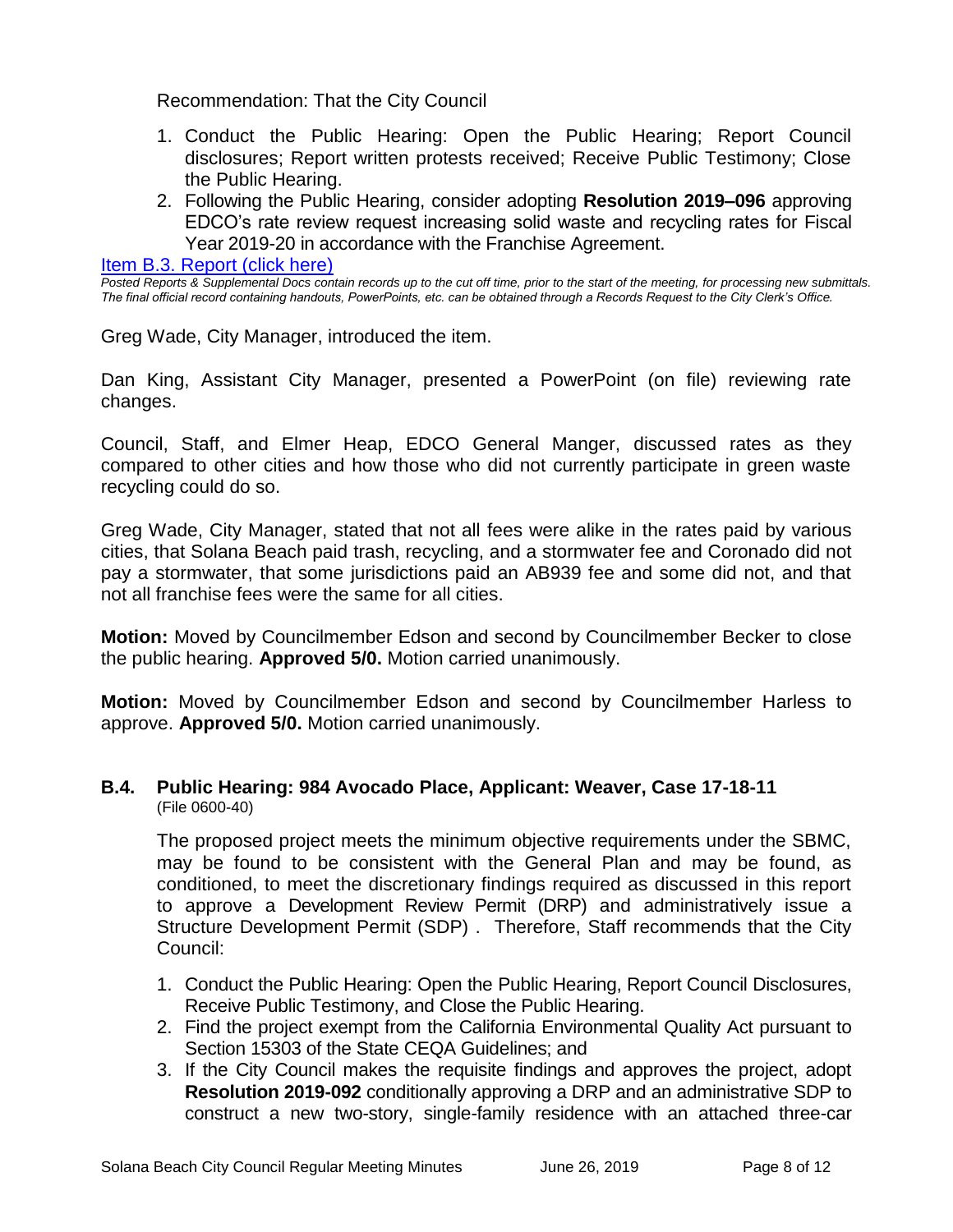Recommendation: That the City Council

- 1. Conduct the Public Hearing: Open the Public Hearing; Report Council disclosures; Report written protests received; Receive Public Testimony; Close the Public Hearing.
- 2. Following the Public Hearing, consider adopting **Resolution 2019–096** approving EDCO's rate review request increasing solid waste and recycling rates for Fiscal Year 2019-20 in accordance with the Franchise Agreement.

[Item B.3. Report \(click here\)](https://solanabeach.govoffice3.com/vertical/Sites/%7B840804C2-F869-4904-9AE3-720581350CE7%7D/uploads/Item_B.3._Report_(click_here)_06-26-19_-_O.pdf)

*Posted Reports & Supplemental Docs contain records up to the cut off time, prior to the start of the meeting, for processing new submittals. The final official record containing handouts, PowerPoints, etc. can be obtained through a Records Request to the City Clerk's Office.*

Greg Wade, City Manager, introduced the item.

Dan King, Assistant City Manager, presented a PowerPoint (on file) reviewing rate changes.

Council, Staff, and Elmer Heap, EDCO General Manger, discussed rates as they compared to other cities and how those who did not currently participate in green waste recycling could do so.

Greg Wade, City Manager, stated that not all fees were alike in the rates paid by various cities, that Solana Beach paid trash, recycling, and a stormwater fee and Coronado did not pay a stormwater, that some jurisdictions paid an AB939 fee and some did not, and that not all franchise fees were the same for all cities.

**Motion:** Moved by Councilmember Edson and second by Councilmember Becker to close the public hearing. **Approved 5/0.** Motion carried unanimously.

**Motion:** Moved by Councilmember Edson and second by Councilmember Harless to approve. **Approved 5/0.** Motion carried unanimously.

#### **B.4. Public Hearing: 984 Avocado Place, Applicant: Weaver, Case 17-18-11** (File 0600-40)

The proposed project meets the minimum objective requirements under the SBMC, may be found to be consistent with the General Plan and may be found, as conditioned, to meet the discretionary findings required as discussed in this report to approve a Development Review Permit (DRP) and administratively issue a Structure Development Permit (SDP) . Therefore, Staff recommends that the City Council:

- 1. Conduct the Public Hearing: Open the Public Hearing, Report Council Disclosures, Receive Public Testimony, and Close the Public Hearing.
- 2. Find the project exempt from the California Environmental Quality Act pursuant to Section 15303 of the State CEQA Guidelines; and
- 3. If the City Council makes the requisite findings and approves the project, adopt **Resolution 2019-092** conditionally approving a DRP and an administrative SDP to construct a new two-story, single-family residence with an attached three-car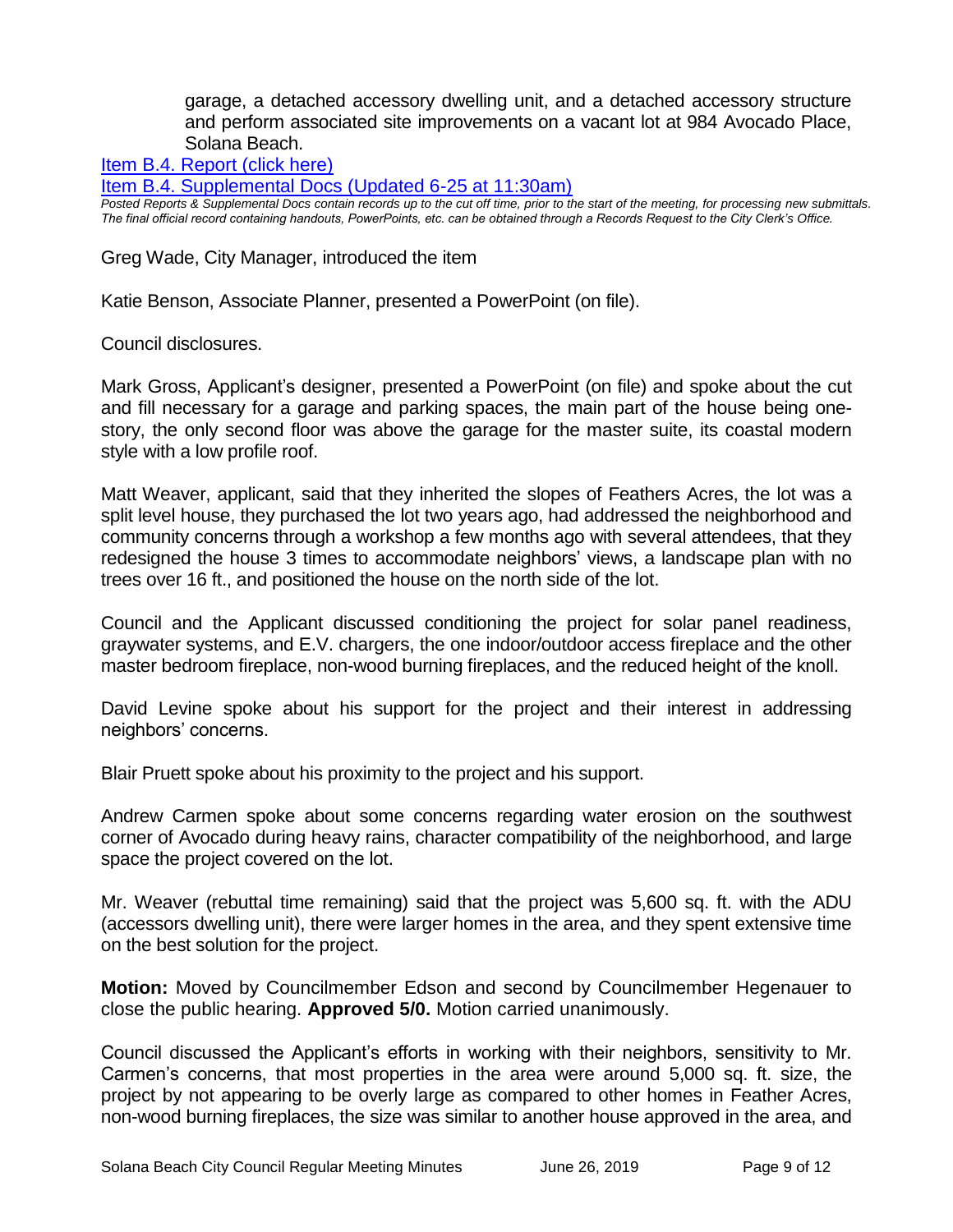garage, a detached accessory dwelling unit, and a detached accessory structure and perform associated site improvements on a vacant lot at 984 Avocado Place, Solana Beach.

[Item B.4. Report \(click here\)](https://solanabeach.govoffice3.com/vertical/Sites/%7B840804C2-F869-4904-9AE3-720581350CE7%7D/uploads/Item_B.4._Report_(click_here)_06-26-19_-_OR.pdf)

[Item B.4. Supplemental Docs \(Updated 6-25](https://solanabeach.govoffice3.com/vertical/Sites/%7B840804C2-F869-4904-9AE3-720581350CE7%7D/uploads/Item_B.4._Supplemental_Docs_(6-25_at_1130am)_-_O.pdf) at 11:30am)

*Posted Reports & Supplemental Docs contain records up to the cut off time, prior to the start of the meeting, for processing new submittals. The final official record containing handouts, PowerPoints, etc. can be obtained through a Records Request to the City Clerk's Office.*

Greg Wade, City Manager, introduced the item

Katie Benson, Associate Planner, presented a PowerPoint (on file).

Council disclosures.

Mark Gross, Applicant's designer, presented a PowerPoint (on file) and spoke about the cut and fill necessary for a garage and parking spaces, the main part of the house being onestory, the only second floor was above the garage for the master suite, its coastal modern style with a low profile roof.

Matt Weaver, applicant, said that they inherited the slopes of Feathers Acres, the lot was a split level house, they purchased the lot two years ago, had addressed the neighborhood and community concerns through a workshop a few months ago with several attendees, that they redesigned the house 3 times to accommodate neighbors' views, a landscape plan with no trees over 16 ft., and positioned the house on the north side of the lot.

Council and the Applicant discussed conditioning the project for solar panel readiness, graywater systems, and E.V. chargers, the one indoor/outdoor access fireplace and the other master bedroom fireplace, non-wood burning fireplaces, and the reduced height of the knoll.

David Levine spoke about his support for the project and their interest in addressing neighbors' concerns.

Blair Pruett spoke about his proximity to the project and his support.

Andrew Carmen spoke about some concerns regarding water erosion on the southwest corner of Avocado during heavy rains, character compatibility of the neighborhood, and large space the project covered on the lot.

Mr. Weaver (rebuttal time remaining) said that the project was 5,600 sq. ft. with the ADU (accessors dwelling unit), there were larger homes in the area, and they spent extensive time on the best solution for the project.

**Motion:** Moved by Councilmember Edson and second by Councilmember Hegenauer to close the public hearing. **Approved 5/0.** Motion carried unanimously.

Council discussed the Applicant's efforts in working with their neighbors, sensitivity to Mr. Carmen's concerns, that most properties in the area were around 5,000 sq. ft. size, the project by not appearing to be overly large as compared to other homes in Feather Acres, non-wood burning fireplaces, the size was similar to another house approved in the area, and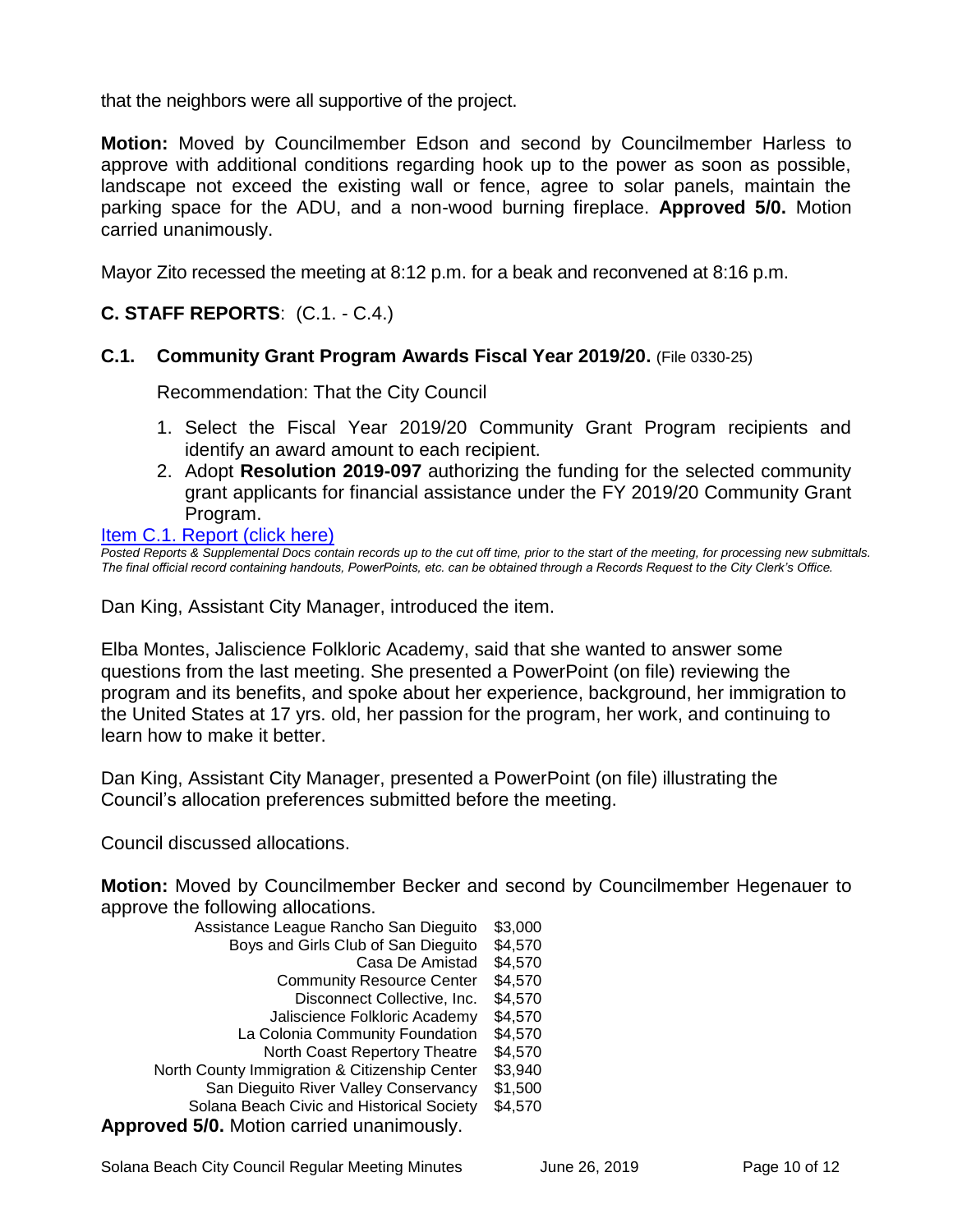that the neighbors were all supportive of the project.

**Motion:** Moved by Councilmember Edson and second by Councilmember Harless to approve with additional conditions regarding hook up to the power as soon as possible, landscape not exceed the existing wall or fence, agree to solar panels, maintain the parking space for the ADU, and a non-wood burning fireplace. **Approved 5/0.** Motion carried unanimously.

Mayor Zito recessed the meeting at 8:12 p.m. for a beak and reconvened at 8:16 p.m.

# **C. STAFF REPORTS**: (C.1. - C.4.)

#### **C.1. Community Grant Program Awards Fiscal Year 2019/20.** (File 0330-25)

Recommendation: That the City Council

- 1. Select the Fiscal Year 2019/20 Community Grant Program recipients and identify an award amount to each recipient.
- 2. Adopt **Resolution 2019-097** authorizing the funding for the selected community grant applicants for financial assistance under the FY 2019/20 Community Grant Program.

#### [Item C.1. Report \(click here\)](https://solanabeach.govoffice3.com/vertical/Sites/%7B840804C2-F869-4904-9AE3-720581350CE7%7D/uploads/Item_C.1._Report_(click_here)_06-26-19_-_O.pdf)

*Posted Reports & Supplemental Docs contain records up to the cut off time, prior to the start of the meeting, for processing new submittals. The final official record containing handouts, PowerPoints, etc. can be obtained through a Records Request to the City Clerk's Office.*

Dan King, Assistant City Manager, introduced the item.

Elba Montes, Jaliscience Folkloric Academy, said that she wanted to answer some questions from the last meeting. She presented a PowerPoint (on file) reviewing the program and its benefits, and spoke about her experience, background, her immigration to the United States at 17 yrs. old, her passion for the program, her work, and continuing to learn how to make it better.

Dan King, Assistant City Manager, presented a PowerPoint (on file) illustrating the Council's allocation preferences submitted before the meeting.

Council discussed allocations.

**Motion:** Moved by Councilmember Becker and second by Councilmember Hegenauer to approve the following allocations.

| Assistance League Rancho San Dieguito            | \$3,000 |
|--------------------------------------------------|---------|
| Boys and Girls Club of San Dieguito              | \$4,570 |
| Casa De Amistad                                  | \$4,570 |
| <b>Community Resource Center</b>                 | \$4,570 |
| Disconnect Collective, Inc.                      | \$4,570 |
| Jaliscience Folkloric Academy                    | \$4,570 |
| La Colonia Community Foundation                  | \$4,570 |
| North Coast Repertory Theatre                    | \$4,570 |
| North County Immigration & Citizenship Center    | \$3,940 |
| San Dieguito River Valley Conservancy            | \$1,500 |
| Solana Beach Civic and Historical Society        | \$4,570 |
| <b>Approved 5/0.</b> Motion carried unanimously. |         |

Solana Beach City Council Regular Meeting Minutes June 26, 2019 Page 10 of 12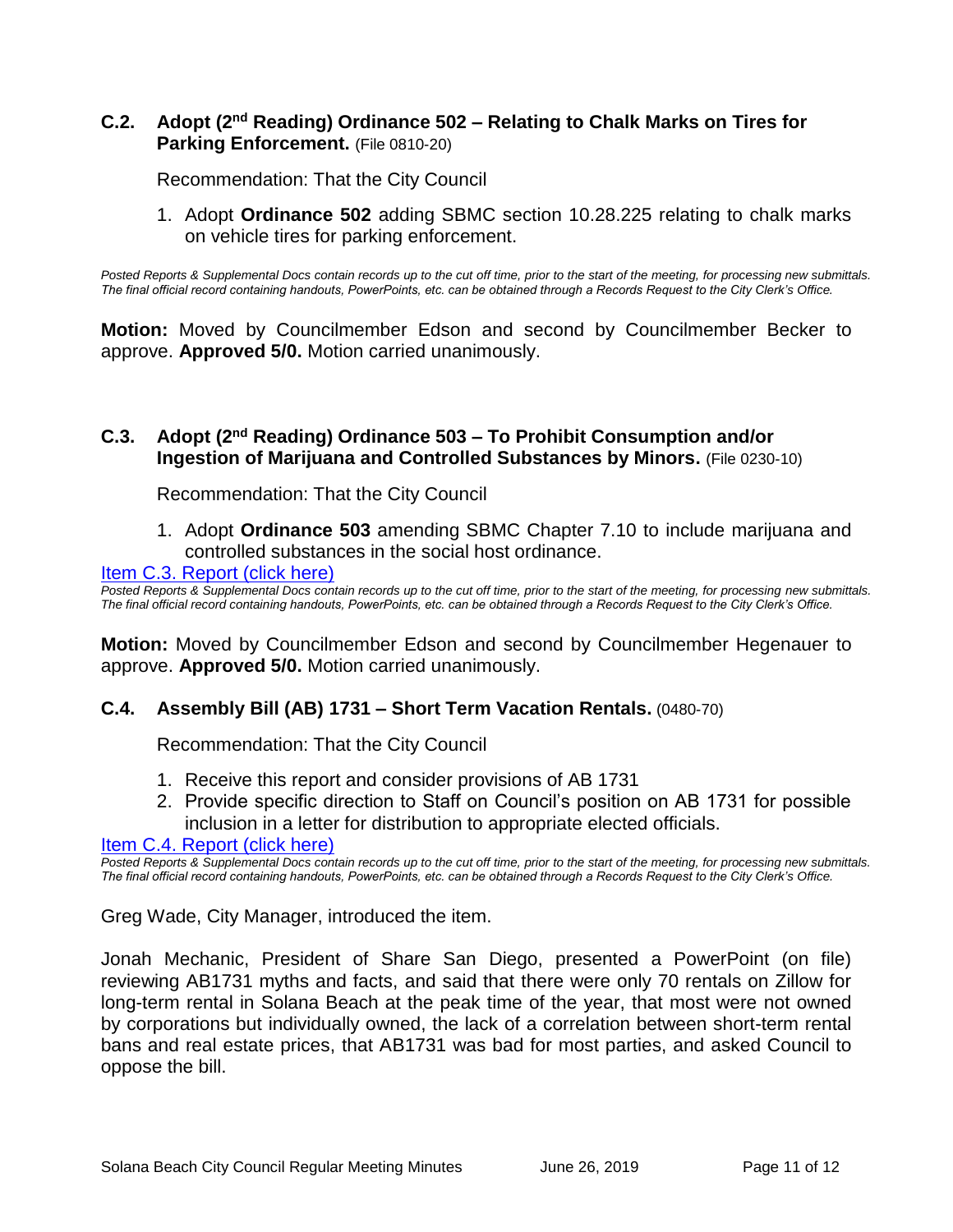#### **C.2.** Adopt (2<sup>nd</sup> Reading) Ordinance 502 – Relating to Chalk Marks on Tires for **Parking Enforcement.** (File 0810-20)

Recommendation: That the City Council

1. Adopt **Ordinance 502** adding SBMC section 10.28.225 relating to chalk marks on vehicle tires for parking enforcement.

*Posted Reports & Supplemental Docs contain records up to the cut off time, prior to the start of the meeting, for processing new submittals. The final official record containing handouts, PowerPoints, etc. can be obtained through a Records Request to the City Clerk's Office.*

**Motion:** Moved by Councilmember Edson and second by Councilmember Becker to approve. **Approved 5/0.** Motion carried unanimously.

#### **C.3. Adopt (2 nd Reading) Ordinance 503 – To Prohibit Consumption and/or Ingestion of Marijuana and Controlled Substances by Minors.** (File 0230-10)

Recommendation: That the City Council

1. Adopt **Ordinance 503** amending SBMC Chapter 7.10 to include marijuana and controlled substances in the social host ordinance.

#### [Item C.3. Report \(click here\)](https://solanabeach.govoffice3.com/vertical/Sites/%7B840804C2-F869-4904-9AE3-720581350CE7%7D/uploads/Item_C.3._Report_(click_here)_06-26-19_-_O.pdf)

*Posted Reports & Supplemental Docs contain records up to the cut off time, prior to the start of the meeting, for processing new submittals. The final official record containing handouts, PowerPoints, etc. can be obtained through a Records Request to the City Clerk's Office.*

**Motion:** Moved by Councilmember Edson and second by Councilmember Hegenauer to approve. **Approved 5/0.** Motion carried unanimously.

#### **C.4. Assembly Bill (AB) 1731 – Short Term Vacation Rentals.** (0480-70)

Recommendation: That the City Council

- 1. Receive this report and consider provisions of AB 1731
- 2. Provide specific direction to Staff on Council's position on AB 1731 for possible inclusion in a letter for distribution to appropriate elected officials.

[Item C.4. Report \(click here\)](https://solanabeach.govoffice3.com/vertical/Sites/%7B840804C2-F869-4904-9AE3-720581350CE7%7D/uploads/Item_C.4._Report_(click_here)_06-26-19_-_O.pdf)

*Posted Reports & Supplemental Docs contain records up to the cut off time, prior to the start of the meeting, for processing new submittals. The final official record containing handouts, PowerPoints, etc. can be obtained through a Records Request to the City Clerk's Office.*

Greg Wade, City Manager, introduced the item.

Jonah Mechanic, President of Share San Diego, presented a PowerPoint (on file) reviewing AB1731 myths and facts, and said that there were only 70 rentals on Zillow for long-term rental in Solana Beach at the peak time of the year, that most were not owned by corporations but individually owned, the lack of a correlation between short-term rental bans and real estate prices, that AB1731 was bad for most parties, and asked Council to oppose the bill.